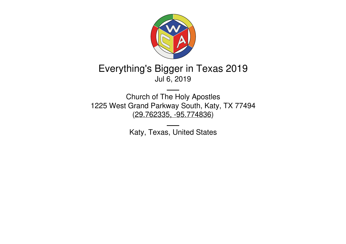

# Everything's Bigger in Texas 2019 Jul 6, 2019

Church of The Holy Apostles 1225 West Grand Parkway South, Katy, TX 77494 (29.762335, [-95.774836](https://www.google.com/maps/place/29.762335,-95.774836))

Katy, Texas, United States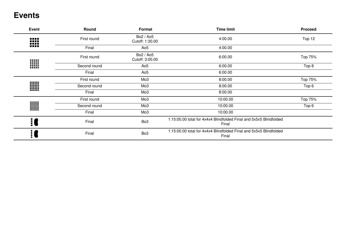## **Events**

| Event | Round        | Format                       | <b>Time limit</b>                                                           | <b>Proceed</b> |
|-------|--------------|------------------------------|-----------------------------------------------------------------------------|----------------|
| ₩     | First round  | Bo2 / Ao5<br>Cutoff: 1:30.00 | 4:00.00                                                                     | Top 12         |
|       | Final        | Ao <sub>5</sub>              | 4:00.00                                                                     |                |
|       | First round  | Bo2 / Ao5<br>Cutoff: 3:00.00 | 6:00.00                                                                     | Top 75%        |
| W     | Second round | Ao <sub>5</sub>              | 6:00.00                                                                     | Top 8          |
|       | Final        | Ao <sub>5</sub>              | 6:00.00                                                                     |                |
|       | First round  | Mo <sub>3</sub>              | 8:00.00                                                                     | Top 75%        |
| W     | Second round | Mo <sub>3</sub>              | 8:00.00                                                                     | Top 6          |
|       | Final        | Mo <sub>3</sub>              | 8:00.00                                                                     |                |
|       | First round  | Mo <sub>3</sub>              | 10:00.00                                                                    | Top 75%        |
| W     | Second round | Mo <sub>3</sub>              | 10:00.00                                                                    | Top 6          |
|       | Final        | Mo <sub>3</sub>              | 10:00.00                                                                    |                |
|       | Final        | Bo <sub>3</sub>              | 1:15:00.00 total for 4x4x4 Blindfolded Final and 5x5x5 Blindfolded<br>Final |                |
|       | Final        | Bo <sub>3</sub>              | 1:15:00.00 total for 4x4x4 Blindfolded Final and 5x5x5 Blindfolded<br>Final |                |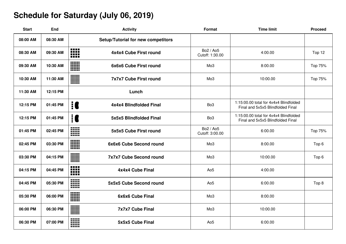# **Schedule for Saturday (July 06, 2019)**

| <b>Start</b> | End      | <b>Activity</b>                                                       | Format                       | <b>Time limit</b>                                                           | <b>Proceed</b>   |
|--------------|----------|-----------------------------------------------------------------------|------------------------------|-----------------------------------------------------------------------------|------------------|
| 08:00 AM     | 08:30 AM | Setup/Tutorial for new competitors                                    |                              |                                                                             |                  |
| 08:30 AM     | 09:30 AM | <b>.</b><br><br>4x4x4 Cube First round<br><b>FREE</b><br>             | Bo2 / Ao5<br>Cutoff: 1:30.00 | 4:00.00                                                                     | Top 12           |
| 09:30 AM     | 10:30 AM | W<br>6x6x6 Cube First round                                           | Mo <sub>3</sub>              | 8:00.00                                                                     | Top 75%          |
| 10:30 AM     | 11:30 AM | W<br>7x7x7 Cube First round                                           | Mo <sub>3</sub>              | 10:00.00                                                                    | Top 75%          |
| 11:30 AM     | 12:15 PM | Lunch                                                                 |                              |                                                                             |                  |
| 12:15 PM     | 01:45 PM | $\mathbf{C}$<br>4x4x4 Blindfolded Final                               | Bo <sub>3</sub>              | 1:15:00.00 total for 4x4x4 Blindfolded<br>Final and 5x5x5 Blindfolded Final |                  |
| 12:15 PM     | 01:45 PM | <u>i C</u><br>5x5x5 Blindfolded Final                                 | Bo <sub>3</sub>              | 1:15:00.00 total for 4x4x4 Blindfolded<br>Final and 5x5x5 Blindfolded Final |                  |
| 01:45 PM     | 02:45 PM | W<br>5x5x5 Cube First round<br>m                                      | Bo2 / Ao5<br>Cutoff: 3:00.00 | 6:00.00                                                                     | Top 75%          |
| 02:45 PM     | 03:30 PM | W<br>6x6x6 Cube Second round                                          | Mo <sub>3</sub>              | 8:00.00                                                                     | Top <sub>6</sub> |
| 03:30 PM     | 04:15 PM | W<br><b>7x7x7 Cube Second round</b>                                   | Mo <sub>3</sub>              | 10:00.00                                                                    | Top 6            |
| 04:15 PM     | 04:45 PM | ----<br><b>BEER</b><br>4x4x4 Cube Final<br><b>BREE</b><br><b>BREE</b> | Ao <sub>5</sub>              | 4:00.00                                                                     |                  |
| 04:45 PM     | 05:30 PM | W<br>5x5x5 Cube Second round                                          | Ao <sub>5</sub>              | 6:00.00                                                                     | Top 8            |
| 05:30 PM     | 06:00 PM | W<br>6x6x6 Cube Final                                                 | Mo <sub>3</sub>              | 8:00.00                                                                     |                  |
| 06:00 PM     | 06:30 PM | W<br><b>7x7x7 Cube Final</b>                                          | Mo <sub>3</sub>              | 10:00.00                                                                    |                  |
| 06:30 PM     | 07:00 PM | W<br>5x5x5 Cube Final<br>                                             | Ao <sub>5</sub>              | 6:00.00                                                                     |                  |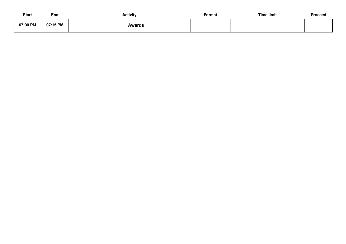| Start    | End      | <b>Activity</b> | Format | <b>Time limit</b> | Proceed |
|----------|----------|-----------------|--------|-------------------|---------|
| 07:00 PM | 07:15 PM | Awards          |        |                   |         |